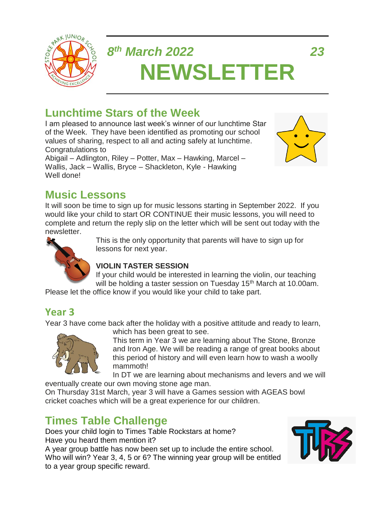

# *8 th March 2022 23* **NEWSLETTER**

# **Lunchtime Stars of the Week**

I am pleased to announce last week's winner of our lunchtime Star of the Week. They have been identified as promoting our school values of sharing, respect to all and acting safely at lunchtime. Congratulations to

Abigail – Adlington, Riley – Potter, Max – Hawking, Marcel – Wallis, Jack – Wallis, Bryce – Shackleton, Kyle - Hawking Well done!



# **Music Lessons**

It will soon be time to sign up for music lessons starting in September 2022. If you would like your child to start OR CONTINUE their music lessons, you will need to complete and return the reply slip on the letter which will be sent out today with the newsletter.



This is the only opportunity that parents will have to sign up for lessons for next year.

#### **VIOLIN TASTER SESSION**

If your child would be interested in learning the violin, our teaching will be holding a taster session on Tuesday 15<sup>th</sup> March at 10.00am.

Please let the office know if you would like your child to take part.

#### **Year 3**

Year 3 have come back after the holiday with a positive attitude and ready to learn,



which has been great to see. This term in Year 3 we are learning about The Stone, Bronze

and Iron Age. We will be reading a range of great books about this period of history and will even learn how to wash a woolly mammoth!

In DT we are learning about mechanisms and levers and we will eventually create our own moving stone age man.

On Thursday 31st March, year 3 will have a Games session with AGEAS bowl cricket coaches which will be a great experience for our children.

# **Times Table Challenge**

Does your child login to Times Table Rockstars at home? Have you heard them mention it? A year group battle has now been set up to include the entire school. Who will win? Year 3, 4, 5 or 6? The winning year group will be entitled to a year group specific reward.

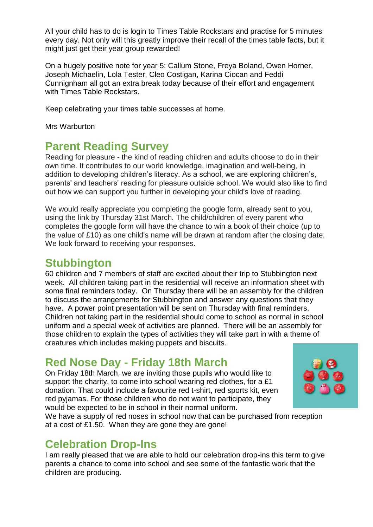All your child has to do is login to Times Table Rockstars and practise for 5 minutes every day. Not only will this greatly improve their recall of the times table facts, but it might just get their year group rewarded!

On a hugely positive note for year 5: Callum Stone, Freya Boland, Owen Horner, Joseph Michaelin, Lola Tester, Cleo Costigan, Karina Ciocan and Feddi Cunnignham all got an extra break today because of their effort and engagement with Times Table Rockstars.

Keep celebrating your times table successes at home.

Mrs Warburton

#### **Parent Reading Survey**

Reading for pleasure - the kind of reading children and adults choose to do in their own time. It contributes to our world knowledge, imagination and well-being, in addition to developing children's literacy. As a school, we are exploring children's, parents' and teachers' reading for pleasure outside school. We would also like to find out how we can support you further in developing your child's love of reading.

We would really appreciate you completing the google form, already sent to you, using the link by Thursday 31st March. The child/children of every parent who completes the google form will have the chance to win a book of their choice (up to the value of £10) as one child's name will be drawn at random after the closing date. We look forward to receiving your responses.

#### **Stubbington**

60 children and 7 members of staff are excited about their trip to Stubbington next week. All children taking part in the residential will receive an information sheet with some final reminders today. On Thursday there will be an assembly for the children to discuss the arrangements for Stubbington and answer any questions that they have. A power point presentation will be sent on Thursday with final reminders. Children not taking part in the residential should come to school as normal in school uniform and a special week of activities are planned. There will be an assembly for those children to explain the types of activities they will take part in with a theme of creatures which includes making puppets and biscuits.

#### **Red Nose Day - Friday 18th March**

On Friday 18th March, we are inviting those pupils who would like to support the charity, to come into school wearing red clothes, for a £1 donation. That could include a favourite red t-shirt, red sports kit, even red pyjamas. For those children who do not want to participate, they would be expected to be in school in their normal uniform.



We have a supply of red noses in school now that can be purchased from reception at a cost of £1.50. When they are gone they are gone!

#### **Celebration Drop-Ins**

I am really pleased that we are able to hold our celebration drop-ins this term to give parents a chance to come into school and see some of the fantastic work that the children are producing.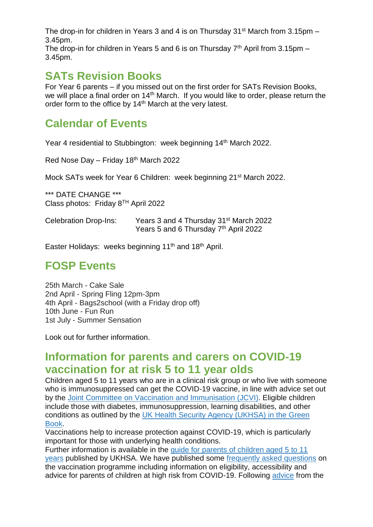The drop-in for children in Years 3 and 4 is on Thursday  $31<sup>st</sup>$  March from 3.15pm – 3.45pm.

The drop-in for children in Years 5 and 6 is on Thursday  $7<sup>th</sup>$  April from 3.15pm – 3.45pm.

#### **SATs Revision Books**

For Year 6 parents – if you missed out on the first order for SATs Revision Books, we will place a final order on 14<sup>th</sup> March. If you would like to order, please return the order form to the office by 14<sup>th</sup> March at the very latest.

# **Calendar of Events**

Year 4 residential to Stubbington: week beginning 14<sup>th</sup> March 2022.

Red Nose Day – Friday 18th March 2022

Mock SATs week for Year 6 Children: week beginning 21st March 2022.

\*\*\* DATE CHANGE \*\*\* Class photos: Friday 8TH April 2022

Celebration Drop-Ins: Years 3 and 4 Thursday 31st March 2022 Years 5 and 6 Thursday 7<sup>th</sup> April 2022

Easter Holidays: weeks beginning 11<sup>th</sup> and 18<sup>th</sup> April.

#### **FOSP Events**

25th March - Cake Sale 2nd April - Spring Fling 12pm-3pm 4th April - Bags2school (with a Friday drop off) 10th June - Fun Run 1st July - Summer Sensation

Look out for further information.

#### **Information for parents and carers on COVID-19 vaccination for at risk 5 to 11 year olds**

Children aged 5 to 11 years who are in a clinical risk group or who live with someone who is immunosuppressed can get the COVID-19 vaccine, in line with advice set out by the Joint Committee on Vaccination and [Immunisation](https://www.gov.uk/government/publications/priority-groups-for-coronavirus-covid-19-vaccination-advice-from-the-jcvi-30-december-2020/joint-committee-on-vaccination-and-immunisation-advice-on-priority-groups-for-covid-19-vaccination-30-december-2020?utm_source=8%20March%202022%20C19&utm_medium=Daily%20Email%20C19&utm_campaign=DfE%20C19) (JCVI). Eligible children include those with diabetes, immunosuppression, learning disabilities, and other conditions as outlined by the UK Health Security Agency [\(UKHSA\)](https://www.gov.uk/government/publications/covid-19-the-green-book-chapter-14a?utm_source=8%20March%202022%20C19&utm_medium=Daily%20Email%20C19&utm_campaign=DfE%20C19) in the Green [Book.](https://www.gov.uk/government/publications/covid-19-the-green-book-chapter-14a?utm_source=8%20March%202022%20C19&utm_medium=Daily%20Email%20C19&utm_campaign=DfE%20C19)

Vaccinations help to increase protection against COVID-19, which is particularly important for those with underlying health conditions.

Further information is available in the guide for parents of [children](https://www.gov.uk/government/publications/covid-19-vaccination-resources-for-children-aged-5-to-11-years/a-guide-for-parents-of-children-aged-5-to-11-years-of-age-at-high-risk?utm_source=8%20March%202022%20C19&utm_medium=Daily%20Email%20C19&utm_campaign=DfE%20C19) aged 5 to 11 [years](https://www.gov.uk/government/publications/covid-19-vaccination-resources-for-children-aged-5-to-11-years/a-guide-for-parents-of-children-aged-5-to-11-years-of-age-at-high-risk?utm_source=8%20March%202022%20C19&utm_medium=Daily%20Email%20C19&utm_campaign=DfE%20C19) published by UKHSA. We have published some [frequently](https://educationhub.blog.gov.uk/2022/02/11/vaccinations-for-clinically-vulnerable-children-and-young-people-your-questions-answered/?utm_source=8%20March%202022%20C19&utm_medium=Daily%20Email%20C19&utm_campaign=DfE%20C19) asked questions on the vaccination programme including information on eligibility, accessibility and advice for parents of children at high risk from COVID-19. Following [advice](https://www.gov.uk/government/publications/jcvi-update-on-advice-for-covid-19-vaccination-of-children-aged-5-to-11/jcvi-statement-on-vaccination-of-children-aged-5-to-11-years-old?utm_source=8%20March%202022%20C19&utm_medium=Daily%20Email%20C19&utm_campaign=DfE%20C19) from the